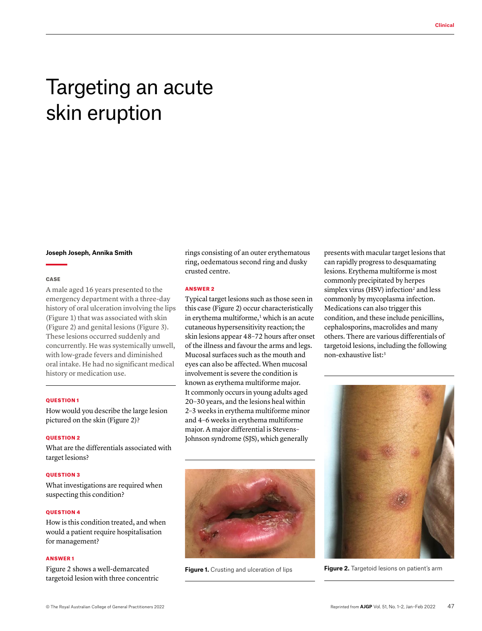# Targeting an acute skin eruption

#### **Joseph Joseph, Annika Smith**

## CASE

A male aged 16 years presented to the emergency department with a three-day history of oral ulceration involving the lips (Figure 1) that was associated with skin (Figure 2) and genital lesions (Figure 3). These lesions occurred suddenly and concurrently. He was systemically unwell, with low-grade fevers and diminished oral intake. He had no significant medical history or medication use.

### QUESTION 1

How would you describe the large lesion pictured on the skin (Figure 2)?

## QUESTION 2

What are the differentials associated with target lesions?

### QUESTION 3

What investigations are required when suspecting this condition?

## **OUESTION 4**

How is this condition treated, and when would a patient require hospitalisation for management?

### ANSWER 1

Figure 2 shows a well-demarcated targetoid lesion with three concentric rings consisting of an outer erythematous ring, oedematous second ring and dusky crusted centre.

## ANSWER 2

Typical target lesions such as those seen in this case (Figure 2) occur characteristically in erythema multiforme, $1$  which is an acute cutaneous hypersensitivity reaction; the skin lesions appear 48–72 hours after onset of the illness and favour the arms and legs. Mucosal surfaces such as the mouth and eyes can also be affected. When mucosal involvement is severe the condition is known as erythema multiforme major. It commonly occurs in young adults aged 20–30 years, and the lesions heal within 2–3 weeks in erythema multiforme minor and 4–6 weeks in erythema multiforme major. A major differential is Stevens– Johnson syndrome (SJS), which generally



presents with macular target lesions that can rapidly progress to desquamating lesions. Erythema multiforme is most commonly precipitated by herpes simplex virus (HSV) infection<sup>2</sup> and less commonly by mycoplasma infection. Medications can also trigger this condition, and these include penicillins, cephalosporins, macrolides and many others. There are various differentials of targetoid lesions, including the following non-exhaustive list:3



**Figure 1.** Crusting and ulceration of lips **Figure 2.** Targetoid lesions on patient's arm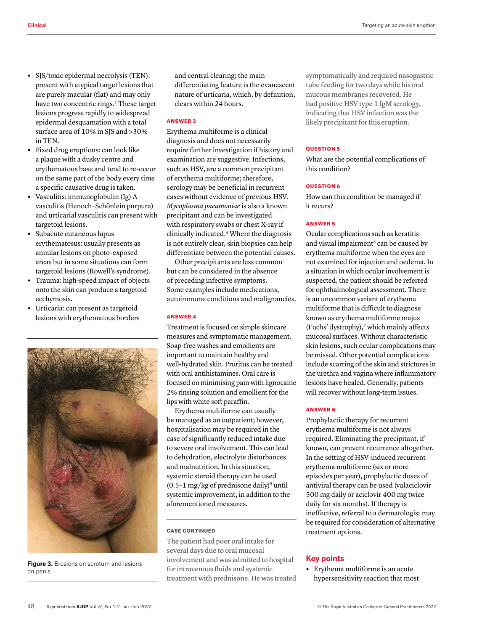- **•** SJS/toxic epidermal necrolysis (TEN): present with atypical target lesions that are purely macular (flat) and may only have two concentric rings.<sup>1</sup> These target lesions progress rapidly to widespread epidermal desquamation with a total surface area of 10% in SJS and >30% in TEN.
- **•** Fixed drug eruptions: can look like a plaque with a dusky centre and erythematous base and tend to re-occur on the same part of the body every time a specific causative drug is taken.
- **•** Vasculitis: immunoglobulin (Ig) A vasculitis (Henoch–Schönlein purpura) and urticarial vasculitis can present with targetoid lesions.
- **•** Subacute cutaneous lupus erythematosus: usually presents as annular lesions on photo-exposed areas but in some situations can form targetoid lesions (Rowell's syndrome).
- **•** Trauma: high-speed impact of objects onto the skin can produce a targetoid ecchymosis.
- **•** Urticaria: can present as targetoid lesions with erythematous borders



**Figure 3.** Erosions on scrotum and lesions on penis

and central clearing; the main differentiating feature is the evanescent nature of urticaria, which, by definition, clears within 24 hours.

### ANSWER 3

Erythema multiforme is a clinical diagnosis and does not necessarily require further investigation if history and examination are suggestive. Infections, such as HSV, are a common precipitant of erythema multiforme; therefore, serology may be beneficial in recurrent cases without evidence of previous HSV. *Mycoplasma pneumoniae* is also a known precipitant and can be investigated with respiratory swabs or chest X-ray if clinically indicated.4 Where the diagnosis is not entirely clear, skin biopsies can help differentiate between the potential causes.

Other precipitants are less common but can be considered in the absence of preceding infective symptoms. Some examples include medications, autoimmune conditions and malignancies.

## ANSWER 4

Treatment is focused on simple skincare measures and symptomatic management. Soap-free washes and emollients are important to maintain healthy and well-hydrated skin. Pruritus can be treated with oral antihistamines. Oral care is focused on minimising pain with lignocaine 2% rinsing solution and emollient for the lips with white soft paraffin.

Erythema multiforme can usually be managed as an outpatient; however, hospitalisation may be required in the case of significantly reduced intake due to severe oral involvement. This can lead to dehydration, electrolyte disturbances and malnutrition. In this situation, systemic steroid therapy can be used (0.5-1 mg/kg of prednisone daily)<sup>5</sup> until systemic improvement, in addition to the aforementioned measures.

#### CASE CONTINUED

The patient had poor oral intake for several days due to oral mucosal involvement and was admitted to hospital for intravenous fluids and systemic treatment with prednisone. He was treated symptomatically and required nasogastric tube feeding for two days while his oral mucous membranes recovered. He had positive HSV type 1 IgM serology, indicating that HSV infection was the likely precipitant for this eruption.

## QUESTION 5

What are the potential complications of this condition?

# **OUESTION 6**

How can this condition be managed if it recurs?

## ANSWER 5

Ocular complications such as keratitis and visual impairment<sup>6</sup> can be caused by erythema multiforme when the eyes are not examined for injection and oedema. In a situation in which ocular involvement is suspected, the patient should be referred for ophthalmological assessment. There is an uncommon variant of erythema multiforme that is difficult to diagnose known as erythema multiforme majus (Fuchs' dystrophy), $\bar{y}$  which mainly affects mucosal surfaces. Without characteristic skin lesions, such ocular complications may be missed. Other potential complications include scarring of the skin and strictures in the urethra and vagina where inflammatory lesions have healed. Generally, patients will recover without long-term issues.

## ANSWER 6

Prophylactic therapy for recurrent erythema multiforme is not always required. Eliminating the precipitant, if known, can prevent recurrence altogether. In the setting of HSV-induced recurrent erythema multiforme (six or more episodes per year), prophylactic doses of antiviral therapy can be used (valaciclovir 500 mg daily or aciclovir 400 mg twice daily for six months). If therapy is ineffective, referral to a dermatologist may be required for consideration of alternative treatment options.

## **Key points**

**•** Erythema multiforme is an acute hypersensitivity reaction that most